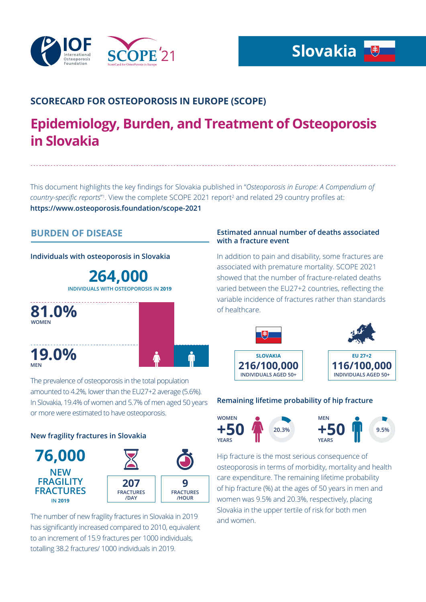

# **SCORECARD FOR OSTEOPOROSIS IN EUROPE (SCOPE)**

# **Epidemiology, Burden, and Treatment of Osteoporosis in Slovakia**

This document highlights the key findings for Slovakia published in "*Osteoporosis in Europe: A Compendium of*  country-specific reports<sup>"1</sup>. View the complete SCOPE 2021 report<sup>2</sup> and related 29 country profiles at: **https://www.osteoporosis.foundation/scope-2021**

# **BURDEN OF DISEASE**

**Individuals with osteoporosis in Slovakia**

**264,000 INDIVIDUALS WITH OSTEOPOROSIS IN 2019**



## **Estimated annual number of deaths associated with a fracture event**

In addition to pain and disability, some fractures are associated with premature mortality. SCOPE 2021 showed that the number of fracture-related deaths varied between the EU27+2 countries, reflecting the variable incidence of fractures rather than standards of healthcare.



## **Remaining lifetime probability of hip fracture**



Hip fracture is the most serious consequence of osteoporosis in terms of morbidity, mortality and health care expenditure. The remaining lifetime probability of hip fracture (%) at the ages of 50 years in men and women was 9.5% and 20.3%, respectively, placing Slovakia in the upper tertile of risk for both men and women.

The prevalence of osteoporosis in the total population amounted to 4.2%, lower than the EU27+2 average (5.6%). In Slovakia, 19.4% of women and 5.7% of men aged 50 years or more were estimated to have osteoporosis.

## **New fragility fractures in Slovakia**



The number of new fragility fractures in Slovakia in 2019 has significantly increased compared to 2010, equivalent to an increment of 15.9 fractures per 1000 individuals, totalling 38.2 fractures/ 1000 individuals in 2019.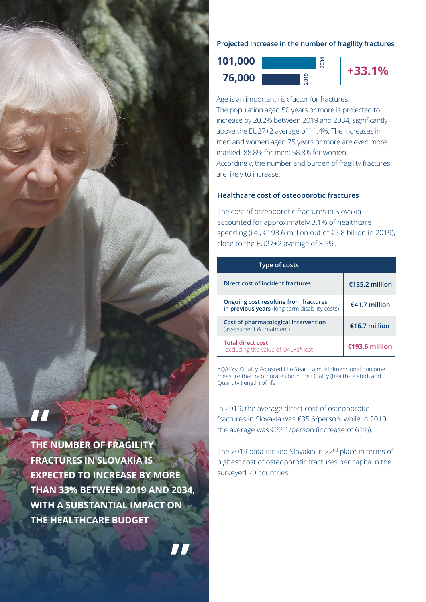### **Projected increase in the number of fragility fractures**





**2034**

Age is an important risk factor for fractures. The population aged 50 years or more is projected to increase by 20.2% between 2019 and 2034, significantly above the EU27+2 average of 11.4%. The increases in men and women aged 75 years or more are even more marked; 88.8% for men; 58.8% for women. Accordingly, the number and burden of fragility fractures are likely to increase.

#### **Healthcare cost of osteoporotic fractures**

The cost of osteoporotic fractures in Slovakia accounted for approximately 3.1% of healthcare spending (i.e., €193.6 million out of €5.8 billion in 2019), close to the EU27+2 average of 3.5%.

| Type of costs                                                                           |                |
|-----------------------------------------------------------------------------------------|----------------|
| Direct cost of incident fractures                                                       | €135.2 million |
| Ongoing cost resulting from fractures<br>in previous years (long-term disability costs) | €41.7 million  |
| Cost of pharmacological intervention<br>(assessment & treatment)                        | €16.7 million  |
| <b>Total direct cost</b><br>(excluding the value of OALYs* lost)                        | €193.6 million |

\*QALYs: Quality-Adjusted Life-Year – a multidimensional outcome measure that incorporates both the Quality (health-related) and Quantity (length) of life

In 2019, the average direct cost of osteoporotic fractures in Slovakia was €35.6/person, while in 2010 the average was €22.1/person (increase of 61%).

The 2019 data ranked Slovakia in 22<sup>nd</sup> place in terms of highest cost of osteoporotic fractures per capita in the surveyed 29 countries.

**THE NUMBER OF FRAGILITY FRACTURES IN SLOVAKIA IS EXPECTED TO INCREASE BY MORE THAN 33% BETWEEN 2019 AND 2034, WITH A SUBSTANTIAL IMPACT ON THE HEALTHCARE BUDGET**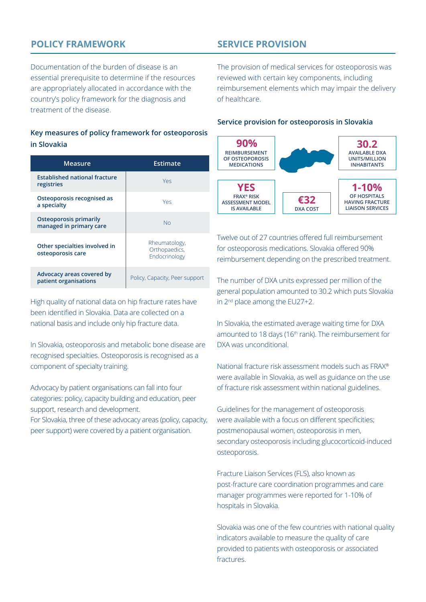# **POLICY FRAMEWORK**

Documentation of the burden of disease is an essential prerequisite to determine if the resources are appropriately allocated in accordance with the country's policy framework for the diagnosis and treatment of the disease.

## **Key measures of policy framework for osteoporosis in Slovakia**

| Measure                                                  | Estimate                                        |
|----------------------------------------------------------|-------------------------------------------------|
| <b>Established national fracture</b><br>registries       | Yes                                             |
| Osteoporosis recognised as<br>a specialty                | Yes                                             |
| <b>Osteoporosis primarily</b><br>managed in primary care | <b>No</b>                                       |
| Other specialties involved in<br>osteoporosis care       | Rheumatology,<br>Orthopaedics,<br>Endocrinology |
| Advocacy areas covered by<br>patient organisations       | Policy, Capacity, Peer support                  |

High quality of national data on hip fracture rates have been identified in Slovakia. Data are collected on a national basis and include only hip fracture data.

In Slovakia, osteoporosis and metabolic bone disease are recognised specialties. Osteoporosis is recognised as a component of specialty training.

Advocacy by patient organisations can fall into four categories: policy, capacity building and education, peer support, research and development.

For Slovakia, three of these advocacy areas (policy, capacity, peer support) were covered by a patient organisation.

# **SERVICE PROVISION**

The provision of medical services for osteoporosis was reviewed with certain key components, including reimbursement elements which may impair the delivery of healthcare.

### **Service provision for osteoporosis in Slovakia**



Twelve out of 27 countries offered full reimbursement for osteoporosis medications. Slovakia offered 90% reimbursement depending on the prescribed treatment.

The number of DXA units expressed per million of the general population amounted to 30.2 which puts Slovakia in 2nd place among the EU27+2.

In Slovakia, the estimated average waiting time for DXA amounted to 18 days (16<sup>th</sup> rank). The reimbursement for DXA was unconditional.

National fracture risk assessment models such as FRAX® were available in Slovakia, as well as guidance on the use of fracture risk assessment within national guidelines.

Guidelines for the management of osteoporosis were available with a focus on different specificities; postmenopausal women, osteoporosis in men, secondary osteoporosis including glucocorticoid-induced osteoporosis.

Fracture Liaison Services (FLS), also known as post-fracture care coordination programmes and care manager programmes were reported for 1-10% of hospitals in Slovakia.

Slovakia was one of the few countries with national quality indicators available to measure the quality of care provided to patients with osteoporosis or associated fractures.